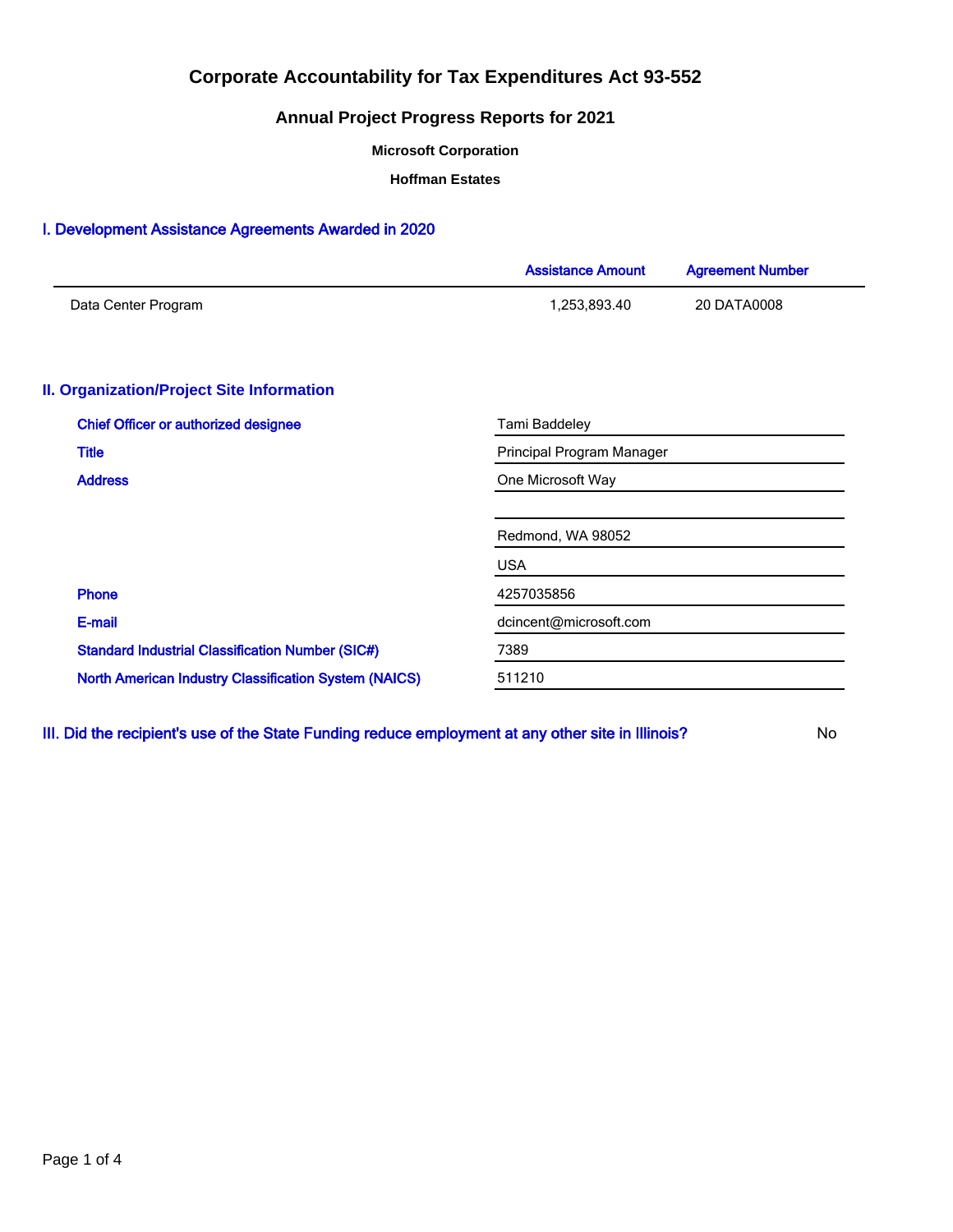## **Annual Project Progress Reports for 2021**

**Microsoft Corporation**

**Hoffman Estates**

### I. Development Assistance Agreements Awarded in 2020

|                                                              | <b>Assistance Amount</b>  | <b>Agreement Number</b> |  |  |  |
|--------------------------------------------------------------|---------------------------|-------------------------|--|--|--|
| Data Center Program                                          | 1,253,893.40              | 20 DATA0008             |  |  |  |
|                                                              |                           |                         |  |  |  |
| <b>II. Organization/Project Site Information</b>             |                           |                         |  |  |  |
| <b>Chief Officer or authorized designee</b>                  | Tami Baddeley             |                         |  |  |  |
| <b>Title</b>                                                 | Principal Program Manager |                         |  |  |  |
| <b>Address</b>                                               | One Microsoft Way         |                         |  |  |  |
|                                                              |                           |                         |  |  |  |
|                                                              | Redmond, WA 98052         |                         |  |  |  |
|                                                              | <b>USA</b>                |                         |  |  |  |
| Phone                                                        | 4257035856                |                         |  |  |  |
| E-mail                                                       | dcincent@microsoft.com    |                         |  |  |  |
| <b>Standard Industrial Classification Number (SIC#)</b>      | 7389                      |                         |  |  |  |
| <b>North American Industry Classification System (NAICS)</b> | 511210                    |                         |  |  |  |

III. Did the recipient's use of the State Funding reduce employment at any other site in Illinois? No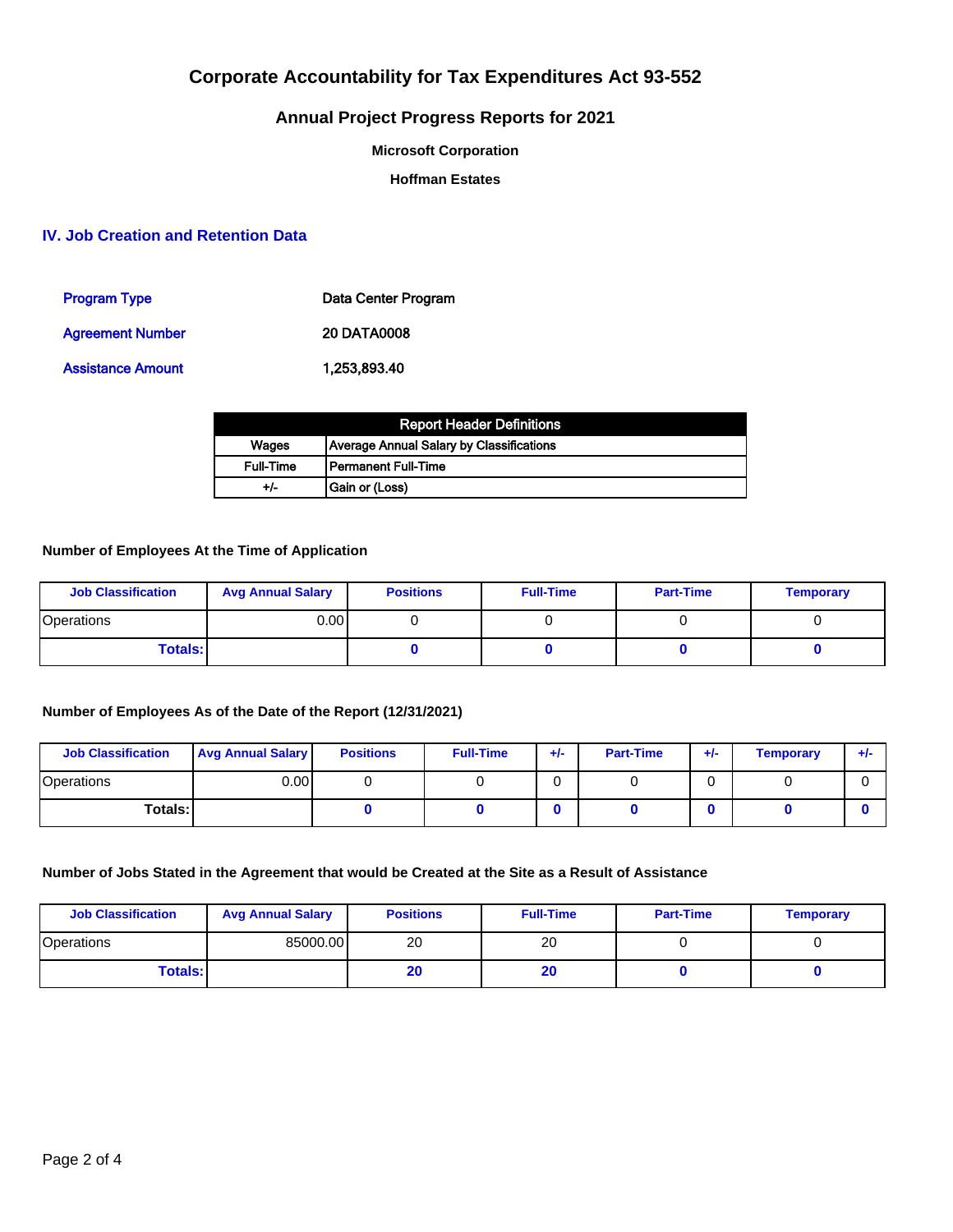## **Annual Project Progress Reports for 2021**

**Microsoft Corporation**

**Hoffman Estates**

## **IV. Job Creation and Retention Data**

| <b>Program Type</b>     | Data Center Program |
|-------------------------|---------------------|
| <b>Agreement Number</b> | <b>20 DATA0008</b>  |
| Assistance Amount       | 1,253,893.40        |

| <b>Report Header Definitions</b> |                                                 |  |  |  |
|----------------------------------|-------------------------------------------------|--|--|--|
| Wages                            | <b>Average Annual Salary by Classifications</b> |  |  |  |
| <b>Full-Time</b>                 | l Permanent Full-Time                           |  |  |  |
| +/-                              | Gain or (Loss)                                  |  |  |  |

### **Number of Employees At the Time of Application**

| <b>Job Classification</b> | <b>Avg Annual Salary</b> | <b>Positions</b> | <b>Full-Time</b> | <b>Part-Time</b> | <b>Temporary</b> |
|---------------------------|--------------------------|------------------|------------------|------------------|------------------|
| Operations                | 0.00 l                   |                  |                  |                  |                  |
| <b>Totals:</b>            |                          |                  |                  |                  |                  |

## **Number of Employees As of the Date of the Report (12/31/2021)**

| <b>Job Classification</b> | <b>Avg Annual Salary</b> | <b>Positions</b> | <b>Full-Time</b> | $+/-$ | <b>Part-Time</b> | $+/-$ | <b>Temporary</b> | ÷ŀ |
|---------------------------|--------------------------|------------------|------------------|-------|------------------|-------|------------------|----|
| Operations                | 0.001                    |                  |                  |       |                  |       |                  |    |
| Totals: I                 |                          |                  |                  |       |                  |       |                  |    |

### **Number of Jobs Stated in the Agreement that would be Created at the Site as a Result of Assistance**

| <b>Job Classification</b> | <b>Avg Annual Salary</b> | <b>Positions</b> | <b>Full-Time</b> | <b>Part-Time</b> | <b>Temporary</b> |
|---------------------------|--------------------------|------------------|------------------|------------------|------------------|
| <b>Operations</b>         | 85000.00                 | 20               | 20               |                  |                  |
| <b>Totals:</b>            |                          | 20               | zu               |                  |                  |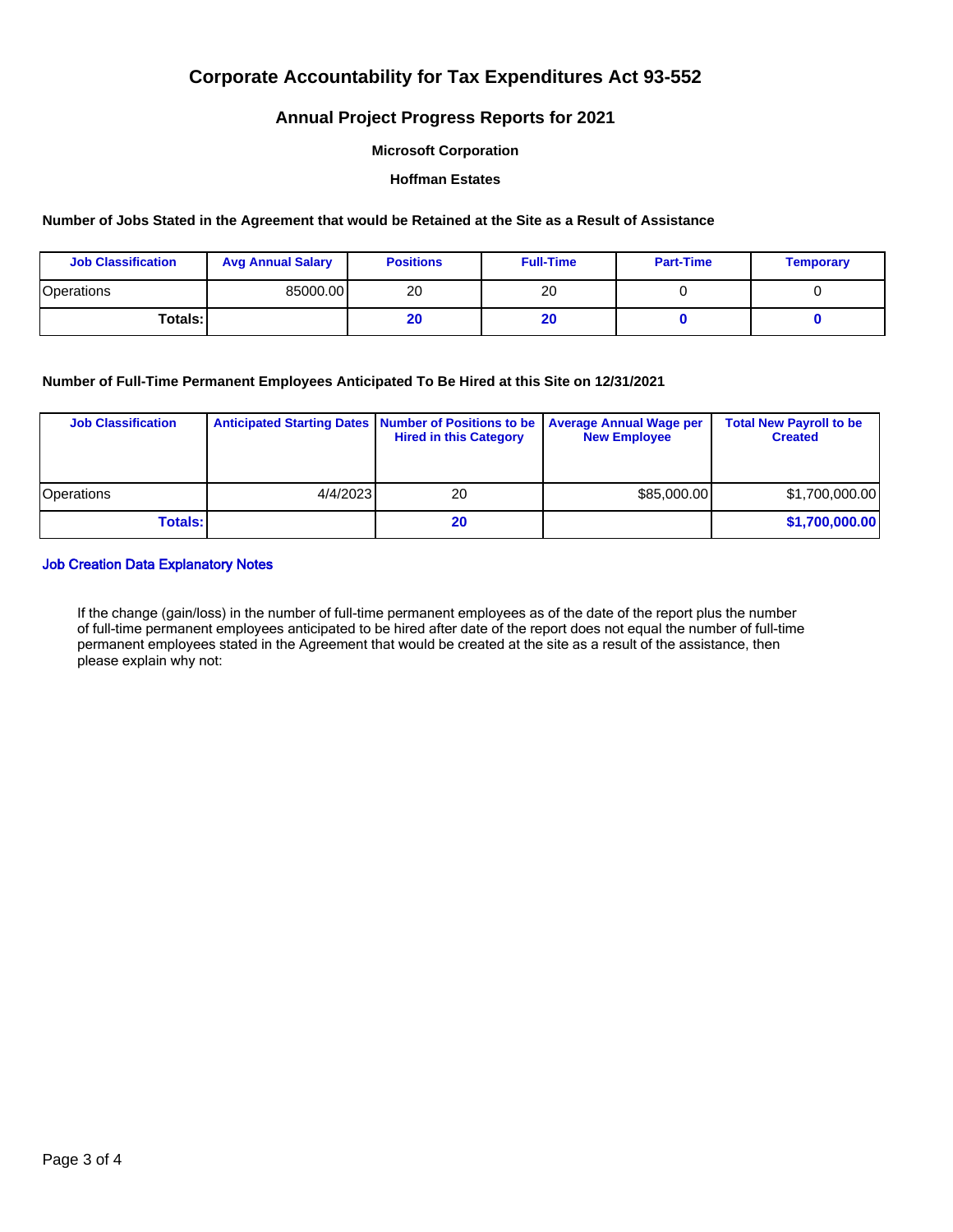## **Annual Project Progress Reports for 2021**

#### **Microsoft Corporation**

#### **Hoffman Estates**

#### **Number of Jobs Stated in the Agreement that would be Retained at the Site as a Result of Assistance**

| <b>Job Classification</b> | <b>Avg Annual Salary</b> | <b>Positions</b> | <b>Full-Time</b> | <b>Part-Time</b> | <b>Temporary</b> |
|---------------------------|--------------------------|------------------|------------------|------------------|------------------|
| Operations                | 85000.00                 | 20               | 20               |                  |                  |
| Totals: I                 |                          | 20               | zu               |                  |                  |

### **Number of Full-Time Permanent Employees Anticipated To Be Hired at this Site on 12/31/2021**

| <b>Job Classification</b> |          | Anticipated Starting Dates   Number of Positions to be<br><b>Hired in this Category</b> | <b>Average Annual Wage per</b><br><b>New Employee</b> | <b>Total New Payroll to be</b><br><b>Created</b> |
|---------------------------|----------|-----------------------------------------------------------------------------------------|-------------------------------------------------------|--------------------------------------------------|
| <b>Operations</b>         | 4/4/2023 | 20                                                                                      | \$85,000.00                                           | \$1,700,000.00                                   |
| <b>Totals:</b>            |          | 20                                                                                      |                                                       | \$1,700,000.00                                   |

### Job Creation Data Explanatory Notes

If the change (gain/loss) in the number of full-time permanent employees as of the date of the report plus the number of full-time permanent employees anticipated to be hired after date of the report does not equal the number of full-time permanent employees stated in the Agreement that would be created at the site as a result of the assistance, then please explain why not: